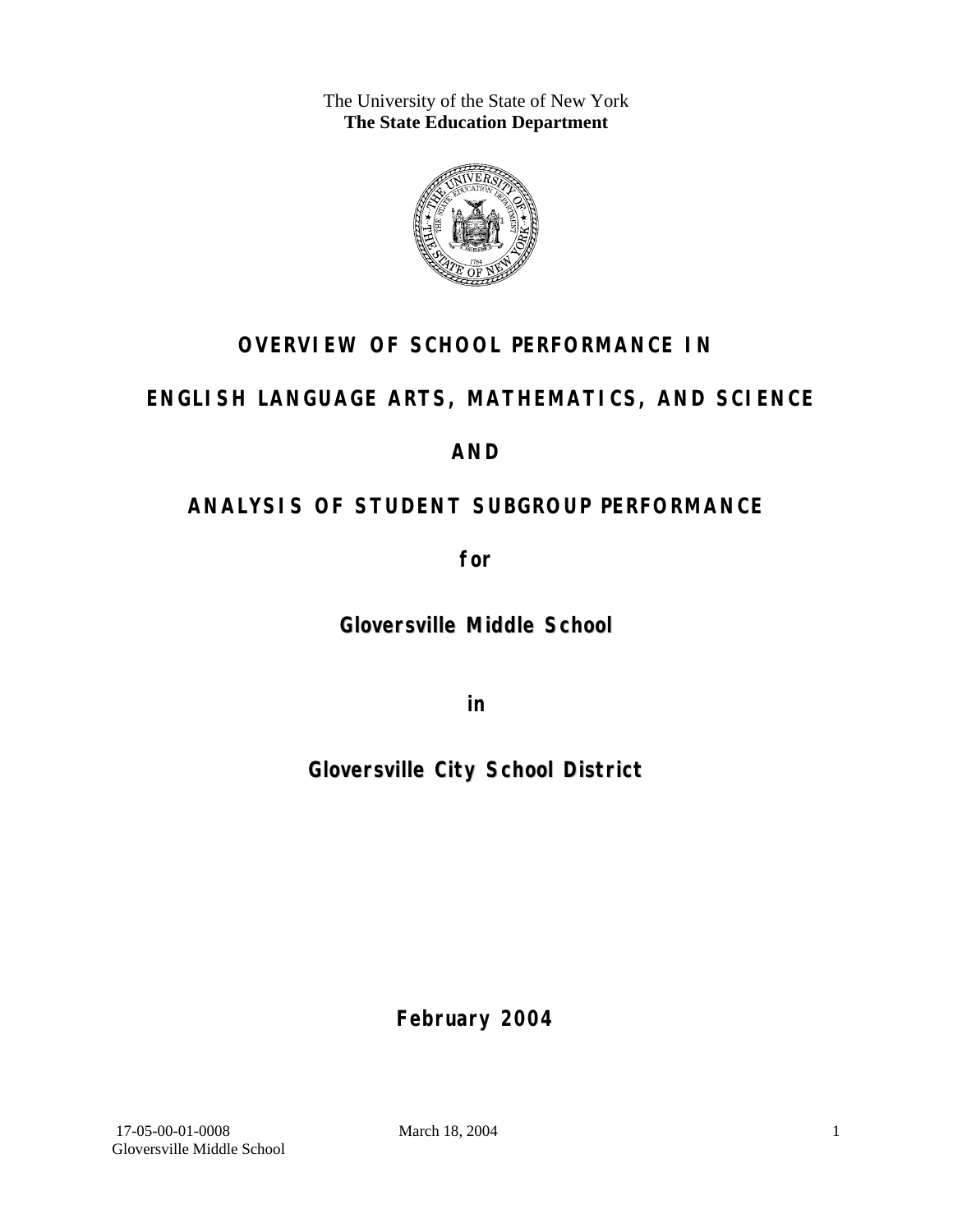The University of the State of New York **The State Education Department** 



# **OVERVIEW OF SCHOOL PERFORMANCE IN**

# **ENGLISH LANGUAGE ARTS, MATHEMATICS, AND SCIENCE**

### **AND**

# **ANALYSIS OF STUDENT SUBGROUP PERFORMANCE**

**for** 

**Gloversville Middle School**

**in** 

**Gloversville City School District**

**February 2004**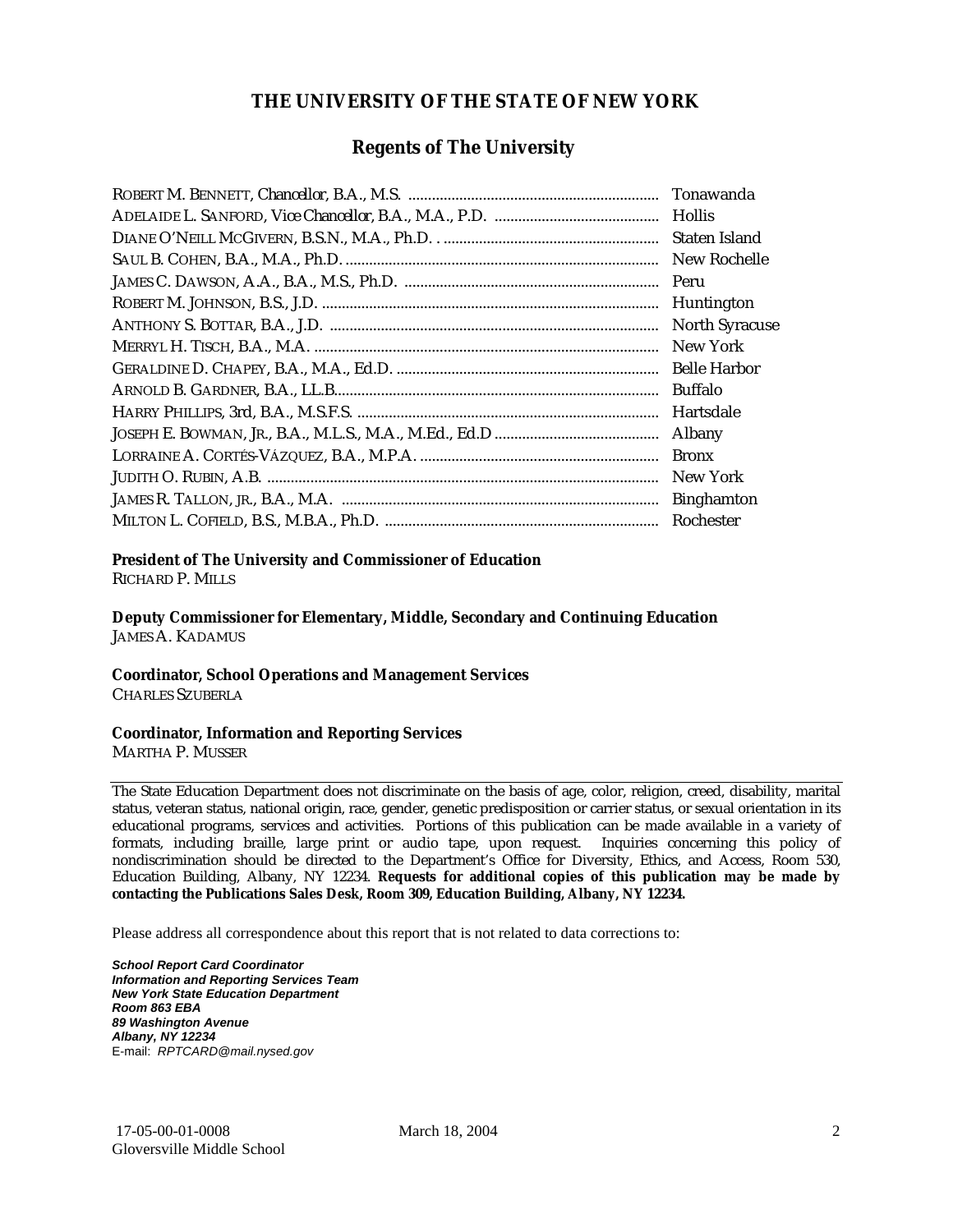### **THE UNIVERSITY OF THE STATE OF NEW YORK**

#### **Regents of The University**

| Tonawanda             |
|-----------------------|
| <b>Hollis</b>         |
| Staten Island         |
| New Rochelle          |
| Peru                  |
| Huntington            |
| <b>North Syracuse</b> |
| New York              |
| <b>Belle Harbor</b>   |
| <b>Buffalo</b>        |
| Hartsdale             |
| Albany                |
| <b>Bronx</b>          |
| New York              |
| <b>Binghamton</b>     |
| Rochester             |

#### **President of The University and Commissioner of Education**

RICHARD P. MILLS

**Deputy Commissioner for Elementary, Middle, Secondary and Continuing Education**  JAMES A. KADAMUS

#### **Coordinator, School Operations and Management Services**

CHARLES SZUBERLA

#### **Coordinator, Information and Reporting Services**

MARTHA P. MUSSER

The State Education Department does not discriminate on the basis of age, color, religion, creed, disability, marital status, veteran status, national origin, race, gender, genetic predisposition or carrier status, or sexual orientation in its educational programs, services and activities. Portions of this publication can be made available in a variety of formats, including braille, large print or audio tape, upon request. Inquiries concerning this policy of nondiscrimination should be directed to the Department's Office for Diversity, Ethics, and Access, Room 530, Education Building, Albany, NY 12234. **Requests for additional copies of this publication may be made by contacting the Publications Sales Desk, Room 309, Education Building, Albany, NY 12234.** 

Please address all correspondence about this report that is not related to data corrections to:

*School Report Card Coordinator Information and Reporting Services Team New York State Education Department Room 863 EBA 89 Washington Avenue Albany, NY 12234*  E-mail: *RPTCARD@mail.nysed.gov*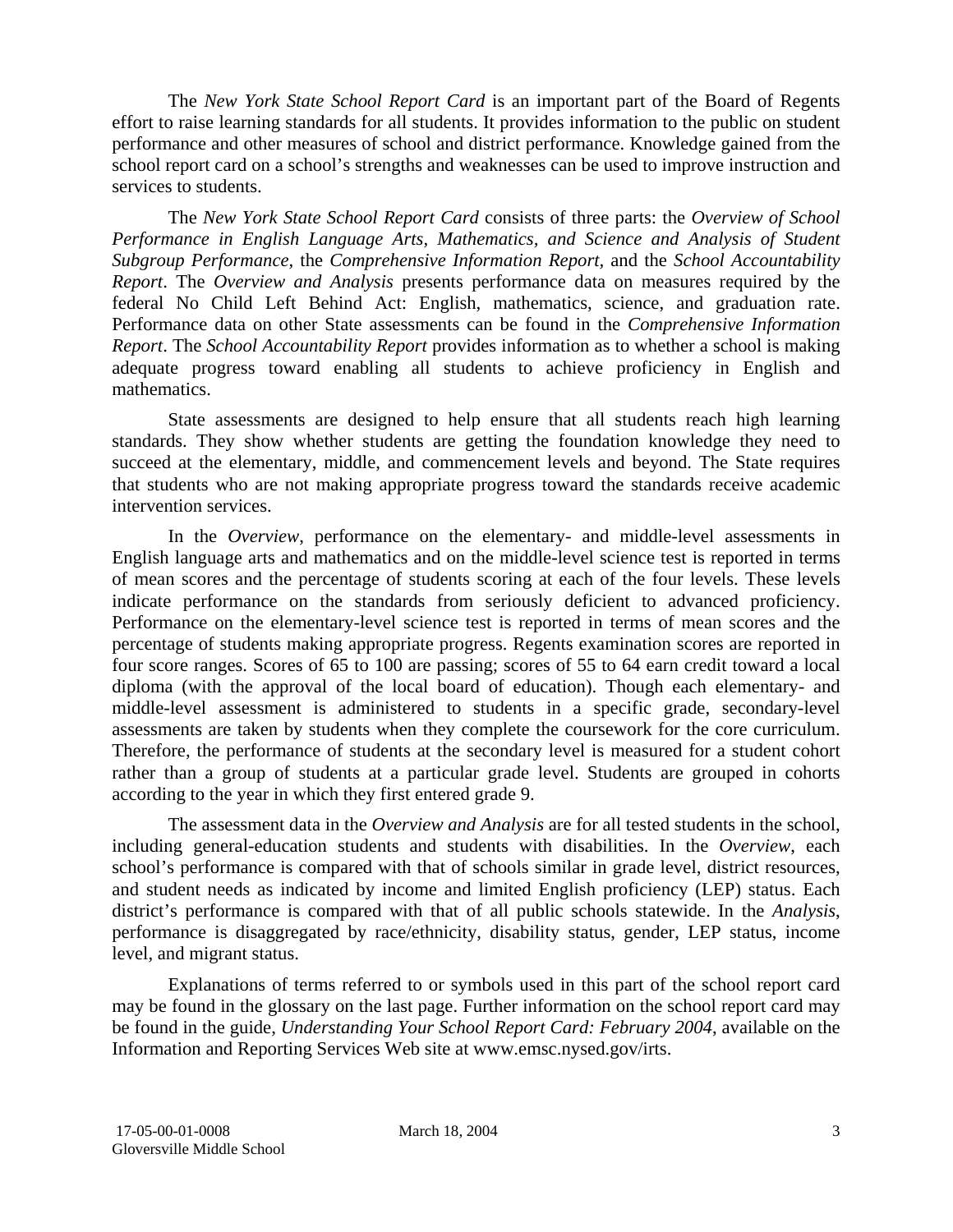The *New York State School Report Card* is an important part of the Board of Regents effort to raise learning standards for all students. It provides information to the public on student performance and other measures of school and district performance. Knowledge gained from the school report card on a school's strengths and weaknesses can be used to improve instruction and services to students.

The *New York State School Report Card* consists of three parts: the *Overview of School Performance in English Language Arts, Mathematics, and Science and Analysis of Student Subgroup Performance,* the *Comprehensive Information Report,* and the *School Accountability Report*. The *Overview and Analysis* presents performance data on measures required by the federal No Child Left Behind Act: English, mathematics, science, and graduation rate. Performance data on other State assessments can be found in the *Comprehensive Information Report*. The *School Accountability Report* provides information as to whether a school is making adequate progress toward enabling all students to achieve proficiency in English and mathematics.

State assessments are designed to help ensure that all students reach high learning standards. They show whether students are getting the foundation knowledge they need to succeed at the elementary, middle, and commencement levels and beyond. The State requires that students who are not making appropriate progress toward the standards receive academic intervention services.

In the *Overview*, performance on the elementary- and middle-level assessments in English language arts and mathematics and on the middle-level science test is reported in terms of mean scores and the percentage of students scoring at each of the four levels. These levels indicate performance on the standards from seriously deficient to advanced proficiency. Performance on the elementary-level science test is reported in terms of mean scores and the percentage of students making appropriate progress. Regents examination scores are reported in four score ranges. Scores of 65 to 100 are passing; scores of 55 to 64 earn credit toward a local diploma (with the approval of the local board of education). Though each elementary- and middle-level assessment is administered to students in a specific grade, secondary-level assessments are taken by students when they complete the coursework for the core curriculum. Therefore, the performance of students at the secondary level is measured for a student cohort rather than a group of students at a particular grade level. Students are grouped in cohorts according to the year in which they first entered grade 9.

The assessment data in the *Overview and Analysis* are for all tested students in the school, including general-education students and students with disabilities. In the *Overview*, each school's performance is compared with that of schools similar in grade level, district resources, and student needs as indicated by income and limited English proficiency (LEP) status. Each district's performance is compared with that of all public schools statewide. In the *Analysis*, performance is disaggregated by race/ethnicity, disability status, gender, LEP status, income level, and migrant status.

Explanations of terms referred to or symbols used in this part of the school report card may be found in the glossary on the last page. Further information on the school report card may be found in the guide, *Understanding Your School Report Card: February 2004*, available on the Information and Reporting Services Web site at www.emsc.nysed.gov/irts.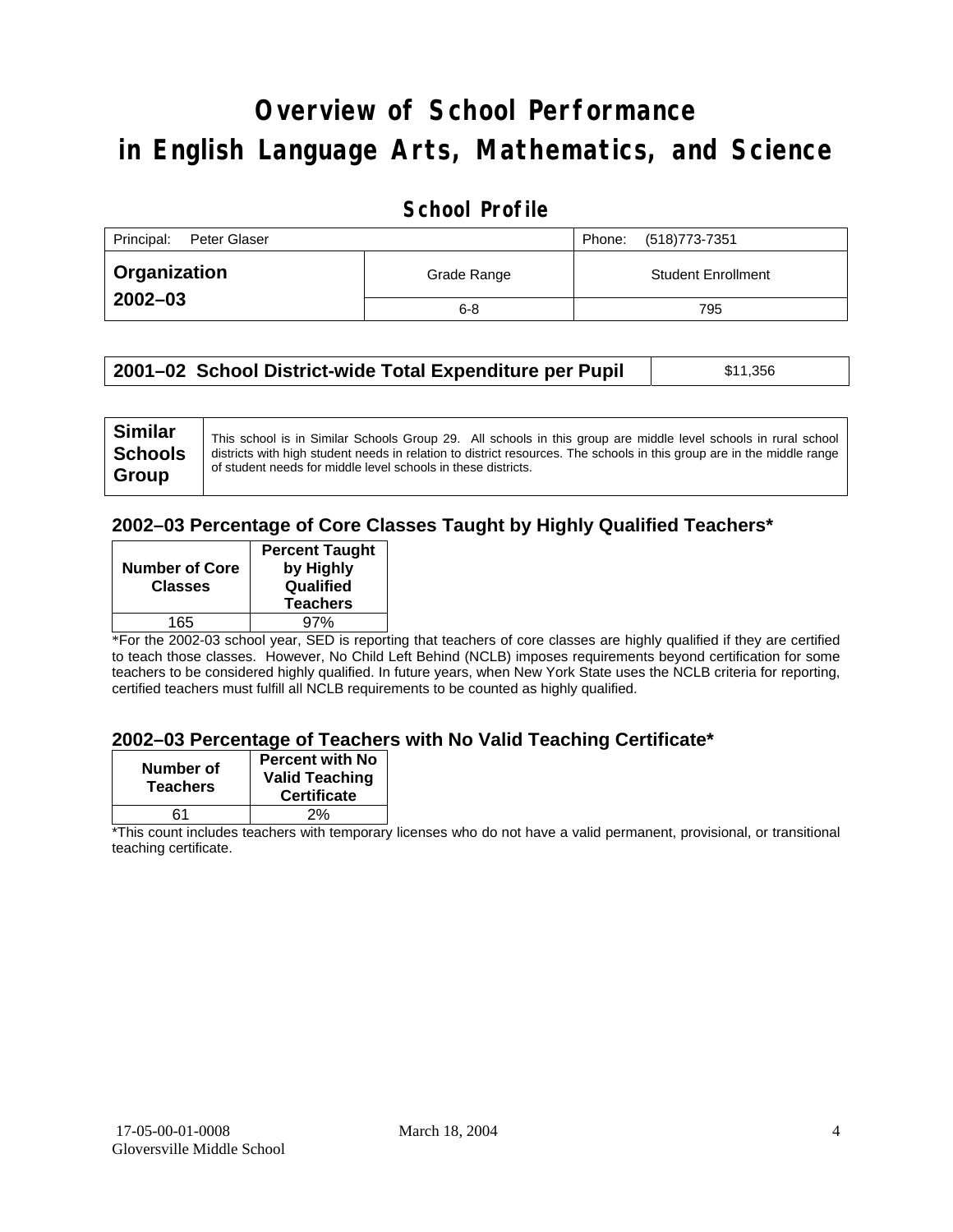# **Overview of School Performance in English Language Arts, Mathematics, and Science**

### **School Profile**

| Principal:<br>Peter Glaser |             | (518) 773-7351<br>Phone:  |
|----------------------------|-------------|---------------------------|
| <b>□ Organization</b>      | Grade Range | <b>Student Enrollment</b> |
| $2002 - 03$                | $6 - 8$     | 795                       |

| 2001–02 School District-wide Total Expenditure per Pupil | \$11,356 |
|----------------------------------------------------------|----------|
|----------------------------------------------------------|----------|

#### **2002–03 Percentage of Core Classes Taught by Highly Qualified Teachers\***

| <b>Number of Core</b><br><b>Classes</b> | <b>Percent Taught</b><br>by Highly<br>Qualified<br><b>Teachers</b> |
|-----------------------------------------|--------------------------------------------------------------------|
|                                         |                                                                    |
| 165                                     | 97%                                                                |
|                                         |                                                                    |

\*For the 2002-03 school year, SED is reporting that teachers of core classes are highly qualified if they are certified to teach those classes. However, No Child Left Behind (NCLB) imposes requirements beyond certification for some teachers to be considered highly qualified. In future years, when New York State uses the NCLB criteria for reporting, certified teachers must fulfill all NCLB requirements to be counted as highly qualified.

#### **2002–03 Percentage of Teachers with No Valid Teaching Certificate\***

| Number of<br><b>Teachers</b> | <b>Percent with No</b><br><b>Valid Teaching</b><br><b>Certificate</b> |
|------------------------------|-----------------------------------------------------------------------|
| ิ ค1                         | 2%                                                                    |

\*This count includes teachers with temporary licenses who do not have a valid permanent, provisional, or transitional teaching certificate.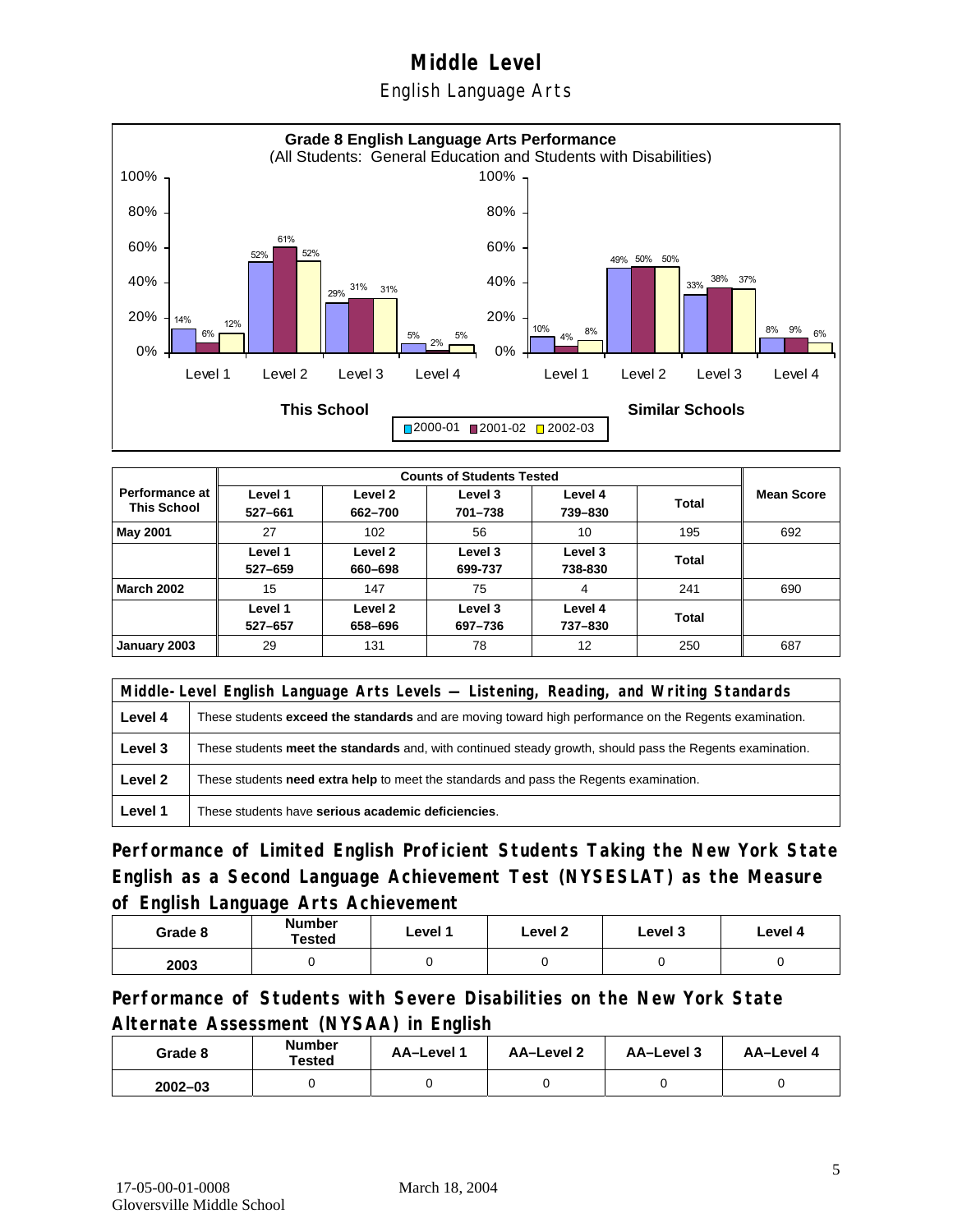### English Language Arts



| <b>Performance at</b><br><b>This School</b> | Level 1<br>527-661 | Level 2<br>662-700 | Level 3<br>701-738 | Level 4<br>739-830 | Total | <b>Mean Score</b> |
|---------------------------------------------|--------------------|--------------------|--------------------|--------------------|-------|-------------------|
| May 2001                                    | 27                 | 102                | 56                 | 10                 | 195   | 692               |
|                                             | Level 1<br>527-659 | Level 2<br>660-698 | Level 3<br>699-737 | Level 3<br>738-830 | Total |                   |
| <b>March 2002</b>                           | 15                 | 147                | 75                 | 4                  | 241   | 690               |
|                                             | Level 1<br>527-657 | Level 2<br>658-696 | Level 3<br>697-736 | Level 4<br>737-830 | Total |                   |
| January 2003                                | 29                 | 131                | 78                 | 12                 | 250   | 687               |

|         | Middle-Level English Language Arts Levels — Listening, Reading, and Writing Standards                         |  |  |
|---------|---------------------------------------------------------------------------------------------------------------|--|--|
| Level 4 | These students <b>exceed the standards</b> and are moving toward high performance on the Regents examination. |  |  |
| Level 3 | These students meet the standards and, with continued steady growth, should pass the Regents examination.     |  |  |
| Level 2 | These students need extra help to meet the standards and pass the Regents examination.                        |  |  |
| Level 1 | These students have serious academic deficiencies.                                                            |  |  |

**Performance of Limited English Proficient Students Taking the New York State English as a Second Language Achievement Test (NYSESLAT) as the Measure of English Language Arts Achievement**

| Grade 8 | Number<br>Tested | Level 1 | Level 2 | Level 3 | Level 4 |
|---------|------------------|---------|---------|---------|---------|
| 2003    |                  |         |         |         |         |

**Performance of Students with Severe Disabilities on the New York State Alternate Assessment (NYSAA) in English** 

| Grade 8     | Number<br>Tested | AA-Level 1 | AA-Level 2 | AA-Level 3 | AA-Level 4 |
|-------------|------------------|------------|------------|------------|------------|
| $2002 - 03$ |                  |            |            |            |            |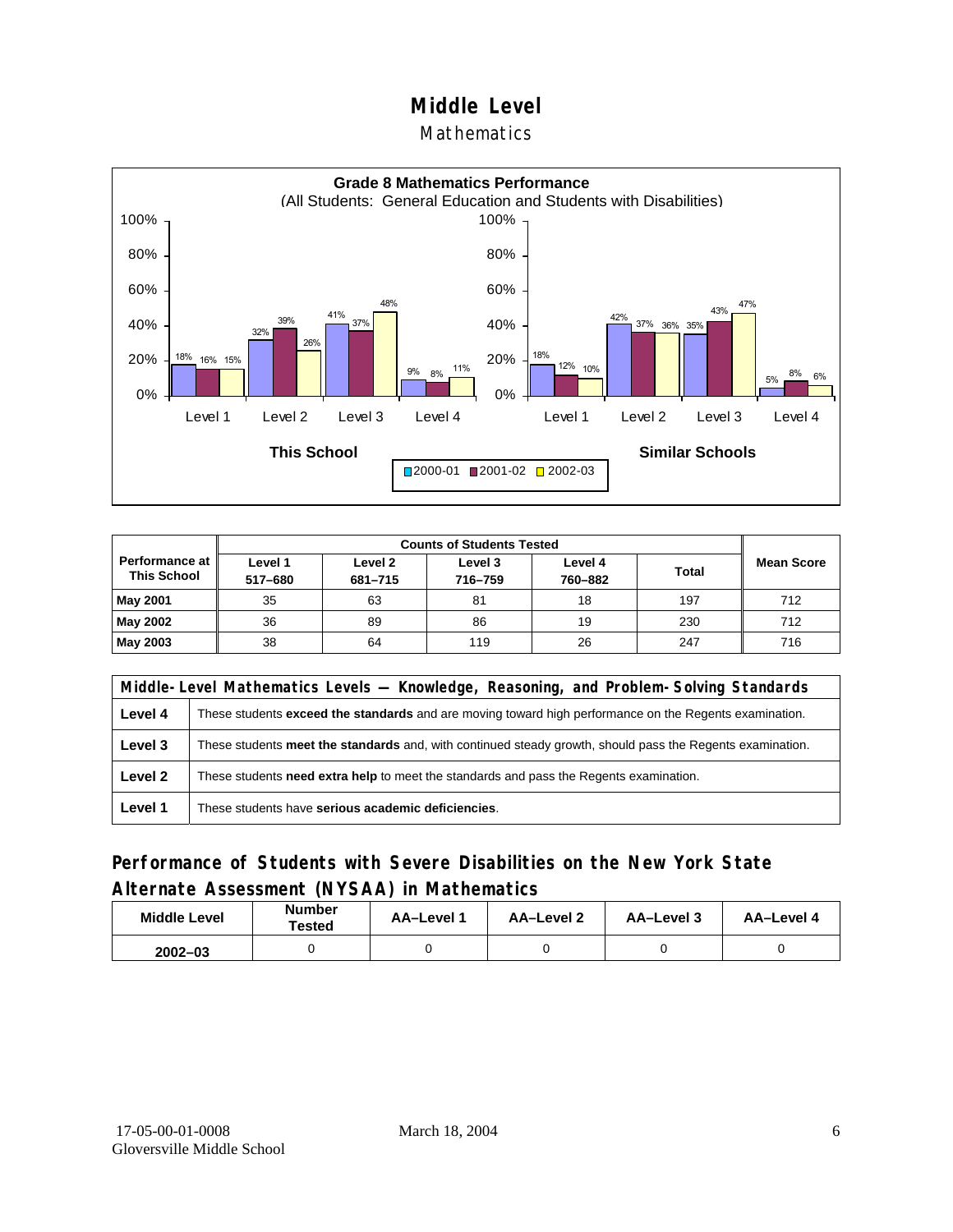#### Mathematics



| <b>Counts of Students Tested</b>     |                    |                    |                    |                    |              |                   |
|--------------------------------------|--------------------|--------------------|--------------------|--------------------|--------------|-------------------|
| Performance at<br><b>This School</b> | Level 1<br>517-680 | Level 2<br>681-715 | Level 3<br>716-759 | Level 4<br>760-882 | <b>Total</b> | <b>Mean Score</b> |
| <b>May 2001</b>                      | 35                 | 63                 | 81                 | 18                 | 197          | 712               |
| May 2002                             | 36                 | 89                 | 86                 | 19                 | 230          | 712               |
| May 2003                             | 38                 | 64                 | 119                | 26                 | 247          | 716               |

|         | Middle-Level Mathematics Levels — Knowledge, Reasoning, and Problem-Solving Standards                         |  |  |
|---------|---------------------------------------------------------------------------------------------------------------|--|--|
| Level 4 | These students <b>exceed the standards</b> and are moving toward high performance on the Regents examination. |  |  |
| Level 3 | These students meet the standards and, with continued steady growth, should pass the Regents examination.     |  |  |
| Level 2 | These students <b>need extra help</b> to meet the standards and pass the Regents examination.                 |  |  |
| Level 1 | These students have serious academic deficiencies.                                                            |  |  |

### **Performance of Students with Severe Disabilities on the New York State Alternate Assessment (NYSAA) in Mathematics**

| <b>Middle Level</b> | <b>Number</b><br>Tested | AA-Level | AA-Level 2 | AA-Level 3 | AA-Level 4 |  |
|---------------------|-------------------------|----------|------------|------------|------------|--|
| $2002 - 03$         |                         |          |            |            |            |  |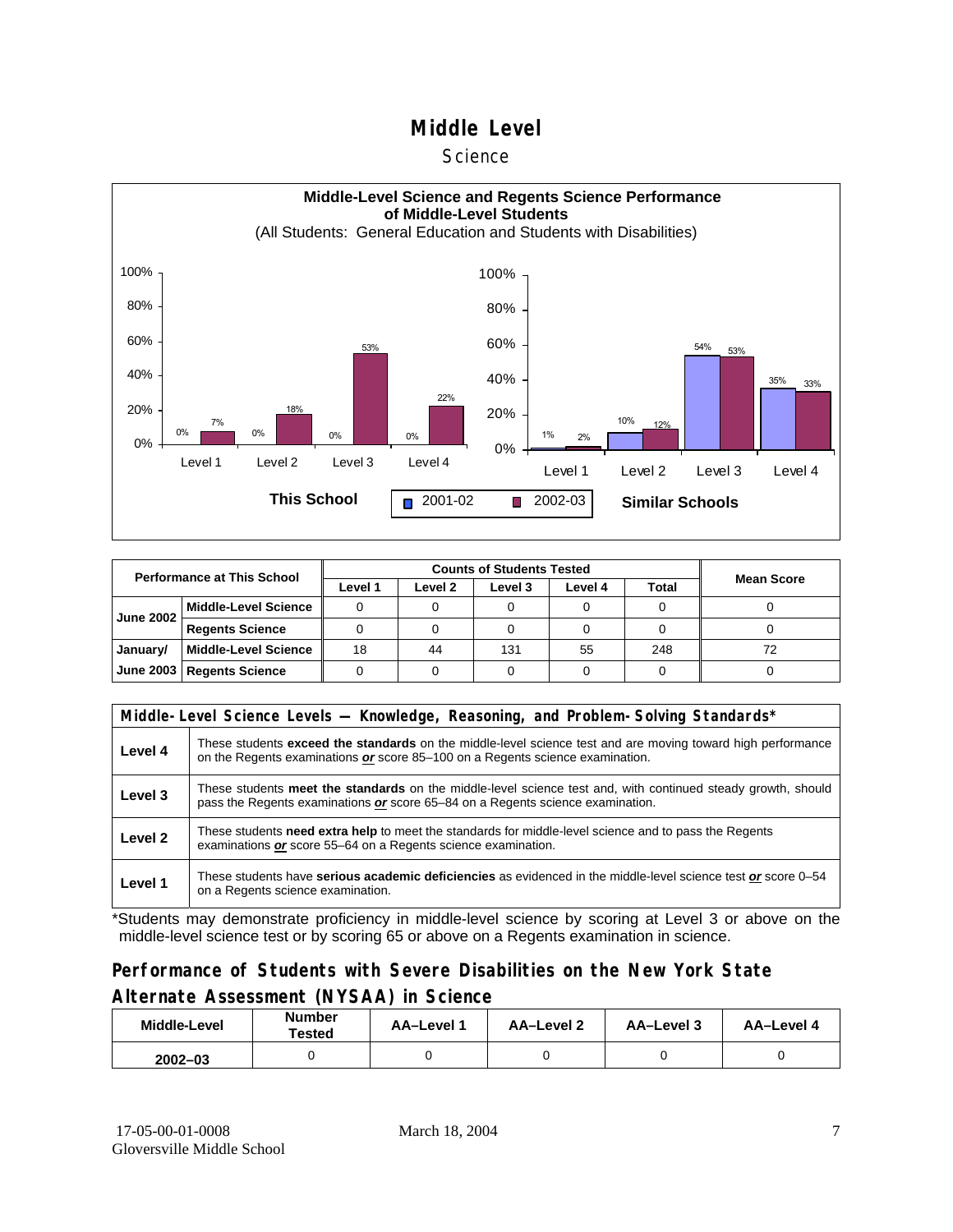#### **Science**



| <b>Performance at This School</b> |                             |         |         |         |         |       |                   |
|-----------------------------------|-----------------------------|---------|---------|---------|---------|-------|-------------------|
|                                   |                             | Level 1 | Level 2 | Level 3 | Level 4 | Total | <b>Mean Score</b> |
| <b>June 2002</b>                  | <b>Middle-Level Science</b> |         |         |         |         |       |                   |
|                                   | <b>Regents Science</b>      |         |         |         |         |       |                   |
| January/                          | <b>Middle-Level Science</b> | 18      | 44      | 131     | 55      | 248   | 72                |
| June 2003                         | <b>Regents Science</b>      |         |         |         |         |       |                   |

|         | Middle-Level Science Levels — Knowledge, Reasoning, and Problem-Solving Standards*                                                                                                                  |  |  |  |  |  |  |  |
|---------|-----------------------------------------------------------------------------------------------------------------------------------------------------------------------------------------------------|--|--|--|--|--|--|--|
| Level 4 | These students <b>exceed the standards</b> on the middle-level science test and are moving toward high performance<br>on the Regents examinations or score 85–100 on a Regents science examination. |  |  |  |  |  |  |  |
| Level 3 | These students meet the standards on the middle-level science test and, with continued steady growth, should<br>pass the Regents examinations or score 65–84 on a Regents science examination.      |  |  |  |  |  |  |  |
| Level 2 | These students need extra help to meet the standards for middle-level science and to pass the Regents<br>examinations or score 55–64 on a Regents science examination.                              |  |  |  |  |  |  |  |
| Level 1 | These students have serious academic deficiencies as evidenced in the middle-level science test or score 0–54<br>on a Regents science examination.                                                  |  |  |  |  |  |  |  |

\*Students may demonstrate proficiency in middle-level science by scoring at Level 3 or above on the middle-level science test or by scoring 65 or above on a Regents examination in science.

### **Performance of Students with Severe Disabilities on the New York State Alternate Assessment (NYSAA) in Science**

| <b>Middle-Level</b> | <b>Number</b><br>Tested | AA-Level 1 | AA-Level 2 | AA-Level 3 | AA-Level 4 |  |
|---------------------|-------------------------|------------|------------|------------|------------|--|
| $2002 - 03$         |                         |            |            |            |            |  |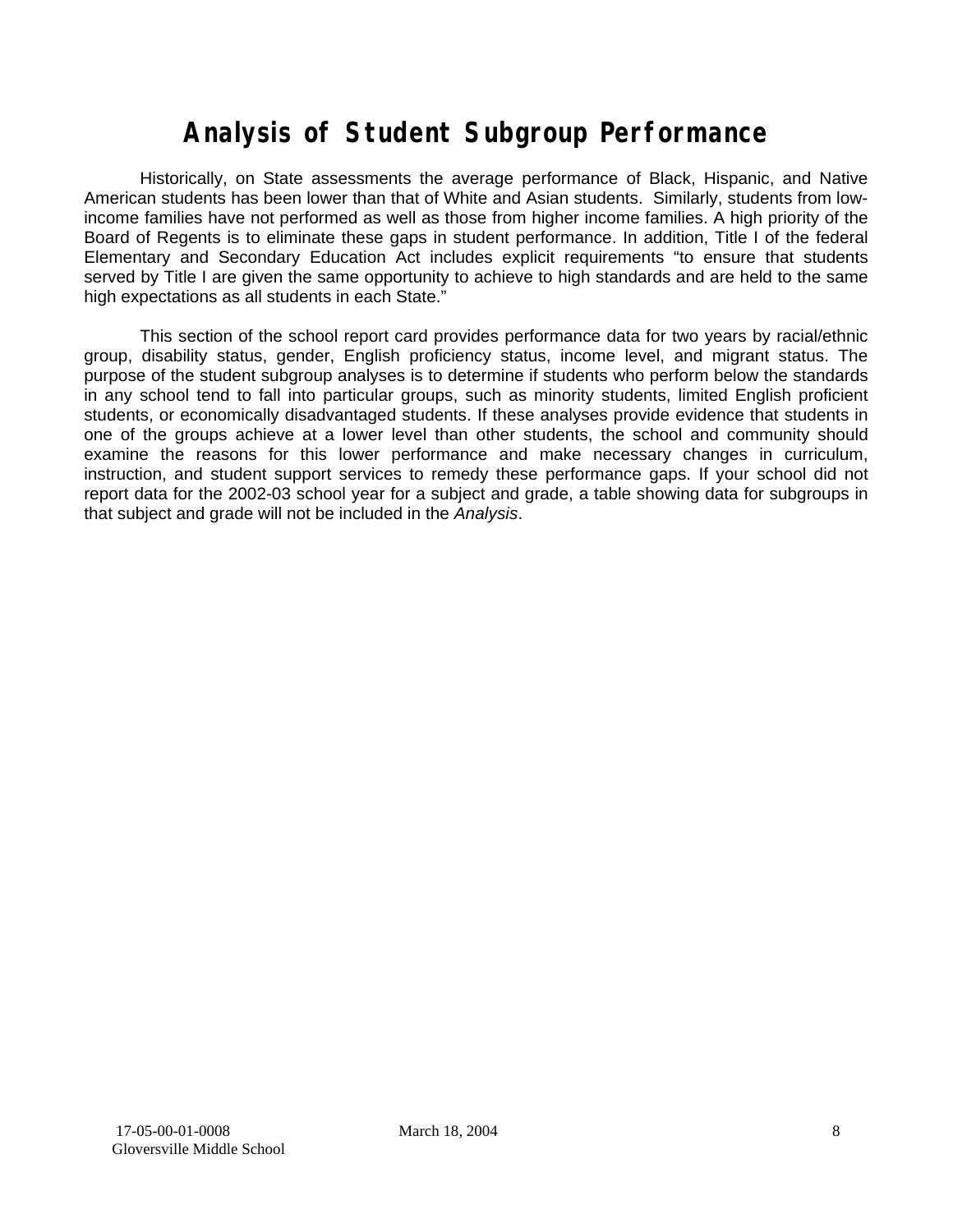# **Analysis of Student Subgroup Performance**

Historically, on State assessments the average performance of Black, Hispanic, and Native American students has been lower than that of White and Asian students. Similarly, students from lowincome families have not performed as well as those from higher income families. A high priority of the Board of Regents is to eliminate these gaps in student performance. In addition, Title I of the federal Elementary and Secondary Education Act includes explicit requirements "to ensure that students served by Title I are given the same opportunity to achieve to high standards and are held to the same high expectations as all students in each State."

This section of the school report card provides performance data for two years by racial/ethnic group, disability status, gender, English proficiency status, income level, and migrant status. The purpose of the student subgroup analyses is to determine if students who perform below the standards in any school tend to fall into particular groups, such as minority students, limited English proficient students, or economically disadvantaged students. If these analyses provide evidence that students in one of the groups achieve at a lower level than other students, the school and community should examine the reasons for this lower performance and make necessary changes in curriculum, instruction, and student support services to remedy these performance gaps. If your school did not report data for the 2002-03 school year for a subject and grade, a table showing data for subgroups in that subject and grade will not be included in the *Analysis*.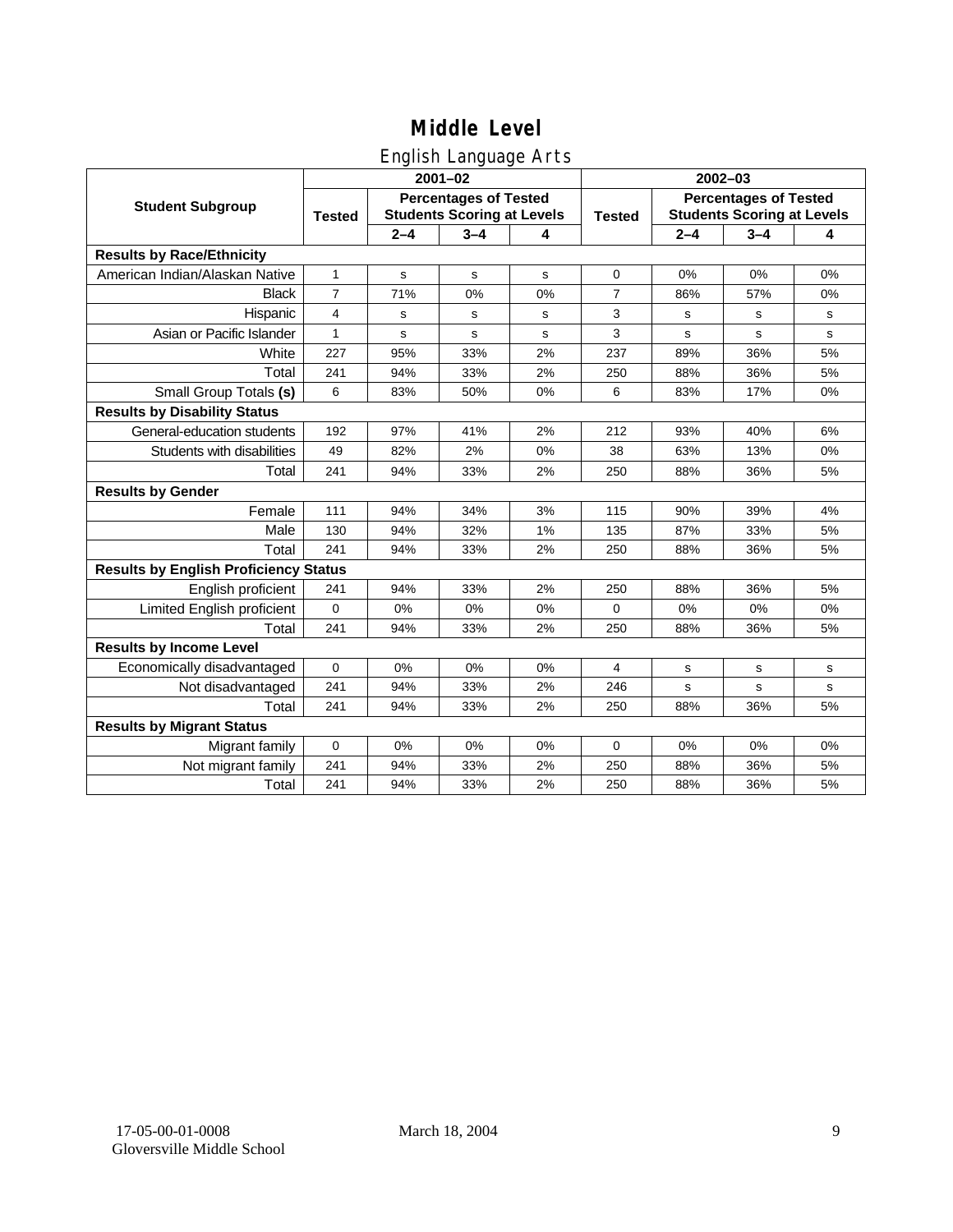### English Language Arts

|                                              |                |             | ັ<br>$2001 - 02$                                                  |    | $2002 - 03$   |                                                                   |         |             |  |
|----------------------------------------------|----------------|-------------|-------------------------------------------------------------------|----|---------------|-------------------------------------------------------------------|---------|-------------|--|
| <b>Student Subgroup</b>                      | <b>Tested</b>  |             | <b>Percentages of Tested</b><br><b>Students Scoring at Levels</b> |    | <b>Tested</b> | <b>Percentages of Tested</b><br><b>Students Scoring at Levels</b> |         |             |  |
|                                              |                | $2 - 4$     | $3 - 4$                                                           | 4  |               | $2 - 4$                                                           | $3 - 4$ | 4           |  |
| <b>Results by Race/Ethnicity</b>             |                |             |                                                                   |    |               |                                                                   |         |             |  |
| American Indian/Alaskan Native               | $\mathbf{1}$   | $\mathbf s$ | $\mathbf s$                                                       | s  | $\mathbf 0$   | 0%                                                                | 0%      | 0%          |  |
| <b>Black</b>                                 | $\overline{7}$ | 71%         | 0%                                                                | 0% | 7             | 86%                                                               | 57%     | 0%          |  |
| Hispanic                                     | 4              | s           | s                                                                 | s  | 3             | s                                                                 | s       | s           |  |
| Asian or Pacific Islander                    | 1              | s           | s                                                                 | s  | 3             | s                                                                 | s       | $\mathbf s$ |  |
| White                                        | 227            | 95%         | 33%                                                               | 2% | 237           | 89%                                                               | 36%     | 5%          |  |
| Total                                        | 241            | 94%         | 33%                                                               | 2% | 250           | 88%                                                               | 36%     | 5%          |  |
| Small Group Totals (s)                       | 6              | 83%         | 50%                                                               | 0% | 6             | 83%                                                               | 17%     | 0%          |  |
| <b>Results by Disability Status</b>          |                |             |                                                                   |    |               |                                                                   |         |             |  |
| General-education students                   | 192            | 97%         | 41%                                                               | 2% | 212           | 93%                                                               | 40%     | 6%          |  |
| Students with disabilities                   | 49             | 82%         | 2%                                                                | 0% | 38            | 63%                                                               | 13%     | 0%          |  |
| Total                                        | 241            | 94%         | 33%                                                               | 2% | 250           | 88%                                                               | 36%     | 5%          |  |
| <b>Results by Gender</b>                     |                |             |                                                                   |    |               |                                                                   |         |             |  |
| Female                                       | 111            | 94%         | 34%                                                               | 3% | 115           | 90%                                                               | 39%     | 4%          |  |
| Male                                         | 130            | 94%         | 32%                                                               | 1% | 135           | 87%                                                               | 33%     | 5%          |  |
| Total                                        | 241            | 94%         | 33%                                                               | 2% | 250           | 88%                                                               | 36%     | 5%          |  |
| <b>Results by English Proficiency Status</b> |                |             |                                                                   |    |               |                                                                   |         |             |  |
| English proficient                           | 241            | 94%         | 33%                                                               | 2% | 250           | 88%                                                               | 36%     | 5%          |  |
| Limited English proficient                   | $\mathbf 0$    | 0%          | 0%                                                                | 0% | $\Omega$      | 0%                                                                | 0%      | 0%          |  |
| Total                                        | 241            | 94%         | 33%                                                               | 2% | 250           | 88%                                                               | 36%     | 5%          |  |
| <b>Results by Income Level</b>               |                |             |                                                                   |    |               |                                                                   |         |             |  |
| Economically disadvantaged                   | 0              | 0%          | 0%                                                                | 0% | 4             | s                                                                 | s       | $\mathbf s$ |  |
| Not disadvantaged                            | 241            | 94%         | 33%                                                               | 2% | 246           | s                                                                 | s       | $\mathbf s$ |  |
| Total                                        | 241            | 94%         | 33%                                                               | 2% | 250           | 88%                                                               | 36%     | 5%          |  |
| <b>Results by Migrant Status</b>             |                |             |                                                                   |    |               |                                                                   |         |             |  |
| Migrant family                               | $\mathbf 0$    | 0%          | 0%                                                                | 0% | 0             | 0%                                                                | 0%      | 0%          |  |
| Not migrant family                           | 241            | 94%         | 33%                                                               | 2% | 250           | 88%                                                               | 36%     | 5%          |  |
| Total                                        | 241            | 94%         | 33%                                                               | 2% | 250           | 88%                                                               | 36%     | 5%          |  |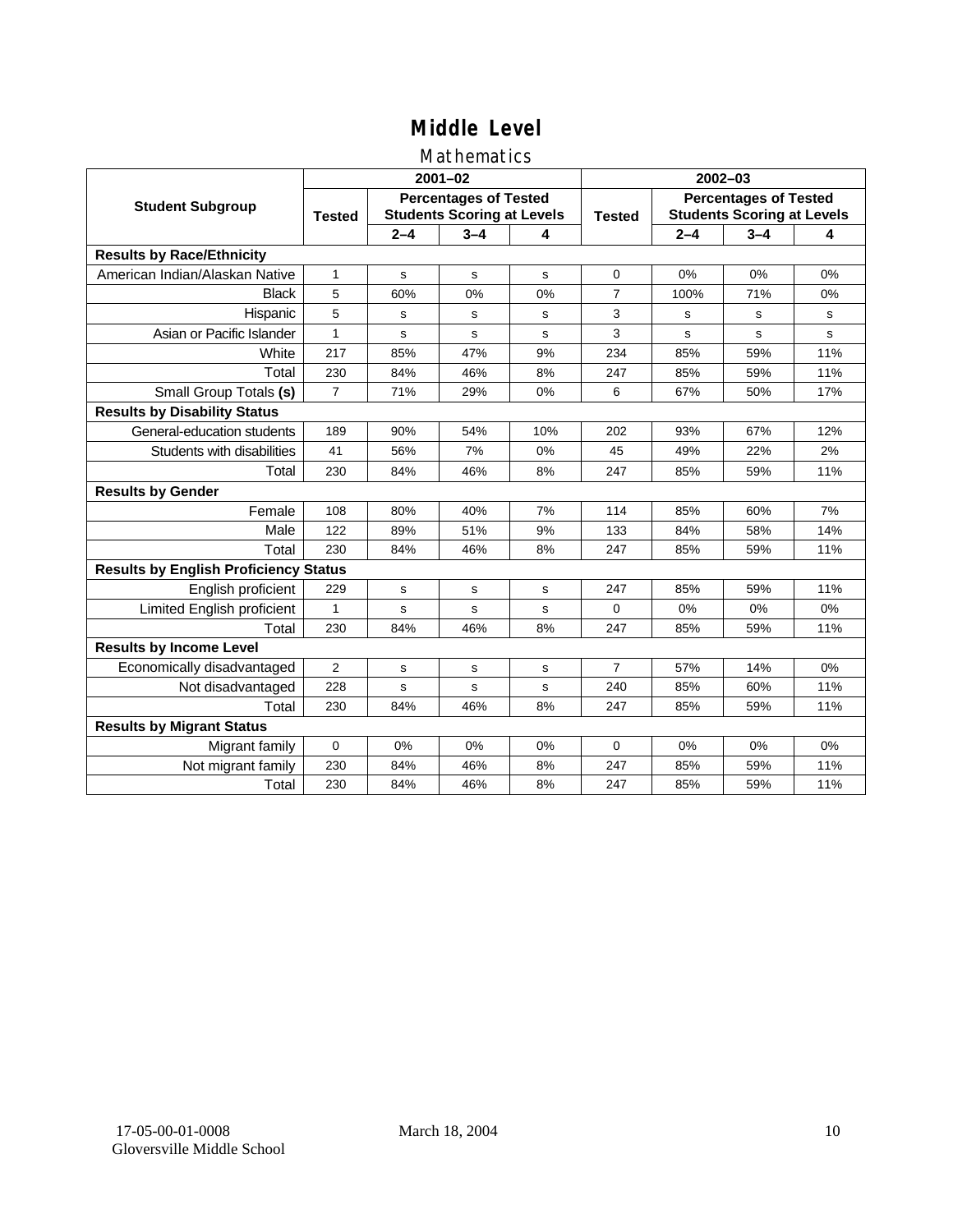### Mathematics

|                                              |                |         | $2001 - 02$                                                       |     | $2002 - 03$    |                                                                   |         |     |  |
|----------------------------------------------|----------------|---------|-------------------------------------------------------------------|-----|----------------|-------------------------------------------------------------------|---------|-----|--|
| <b>Student Subgroup</b>                      | <b>Tested</b>  |         | <b>Percentages of Tested</b><br><b>Students Scoring at Levels</b> |     |                | <b>Percentages of Tested</b><br><b>Students Scoring at Levels</b> |         |     |  |
|                                              |                | $2 - 4$ | $3 - 4$                                                           | 4   |                | $2 - 4$                                                           | $3 - 4$ | 4   |  |
| <b>Results by Race/Ethnicity</b>             |                |         |                                                                   |     |                |                                                                   |         |     |  |
| American Indian/Alaskan Native               | 1              | s       | s                                                                 | s   | $\Omega$       | 0%                                                                | 0%      | 0%  |  |
| <b>Black</b>                                 | 5              | 60%     | 0%                                                                | 0%  | $\overline{7}$ | 100%                                                              | 71%     | 0%  |  |
| Hispanic                                     | 5              | s       | s                                                                 | s   | 3              | s                                                                 | s       | s   |  |
| Asian or Pacific Islander                    | 1              | s       | s                                                                 | s   | 3              | s                                                                 | s       | s   |  |
| White                                        | 217            | 85%     | 47%                                                               | 9%  | 234            | 85%                                                               | 59%     | 11% |  |
| Total                                        | 230            | 84%     | 46%                                                               | 8%  | 247            | 85%                                                               | 59%     | 11% |  |
| Small Group Totals (s)                       | $\overline{7}$ | 71%     | 29%                                                               | 0%  | 6              | 67%                                                               | 50%     | 17% |  |
| <b>Results by Disability Status</b>          |                |         |                                                                   |     |                |                                                                   |         |     |  |
| General-education students                   | 189            | 90%     | 54%                                                               | 10% | 202            | 93%                                                               | 67%     | 12% |  |
| Students with disabilities                   | 41             | 56%     | 7%                                                                | 0%  | 45             | 49%                                                               | 22%     | 2%  |  |
| Total                                        | 230            | 84%     | 46%                                                               | 8%  | 247            | 85%                                                               | 59%     | 11% |  |
| <b>Results by Gender</b>                     |                |         |                                                                   |     |                |                                                                   |         |     |  |
| Female                                       | 108            | 80%     | 40%                                                               | 7%  | 114            | 85%                                                               | 60%     | 7%  |  |
| Male                                         | 122            | 89%     | 51%                                                               | 9%  | 133            | 84%                                                               | 58%     | 14% |  |
| Total                                        | 230            | 84%     | 46%                                                               | 8%  | 247            | 85%                                                               | 59%     | 11% |  |
| <b>Results by English Proficiency Status</b> |                |         |                                                                   |     |                |                                                                   |         |     |  |
| English proficient                           | 229            | s       | s                                                                 | s   | 247            | 85%                                                               | 59%     | 11% |  |
| Limited English proficient                   | $\mathbf{1}$   | s       | s                                                                 | S   | $\Omega$       | 0%                                                                | 0%      | 0%  |  |
| Total                                        | 230            | 84%     | 46%                                                               | 8%  | 247            | 85%                                                               | 59%     | 11% |  |
| <b>Results by Income Level</b>               |                |         |                                                                   |     |                |                                                                   |         |     |  |
| Economically disadvantaged                   | $\overline{2}$ | s       | s                                                                 | s   | $\overline{7}$ | 57%                                                               | 14%     | 0%  |  |
| Not disadvantaged                            | 228            | s       | s                                                                 | s   | 240            | 85%                                                               | 60%     | 11% |  |
| Total                                        | 230            | 84%     | 46%                                                               | 8%  | 247            | 85%                                                               | 59%     | 11% |  |
| <b>Results by Migrant Status</b>             |                |         |                                                                   |     |                |                                                                   |         |     |  |
| Migrant family                               | 0              | 0%      | 0%                                                                | 0%  | $\Omega$       | 0%                                                                | 0%      | 0%  |  |
| Not migrant family                           | 230            | 84%     | 46%                                                               | 8%  | 247            | 85%                                                               | 59%     | 11% |  |
| Total                                        | 230            | 84%     | 46%                                                               | 8%  | 247            | 85%                                                               | 59%     | 11% |  |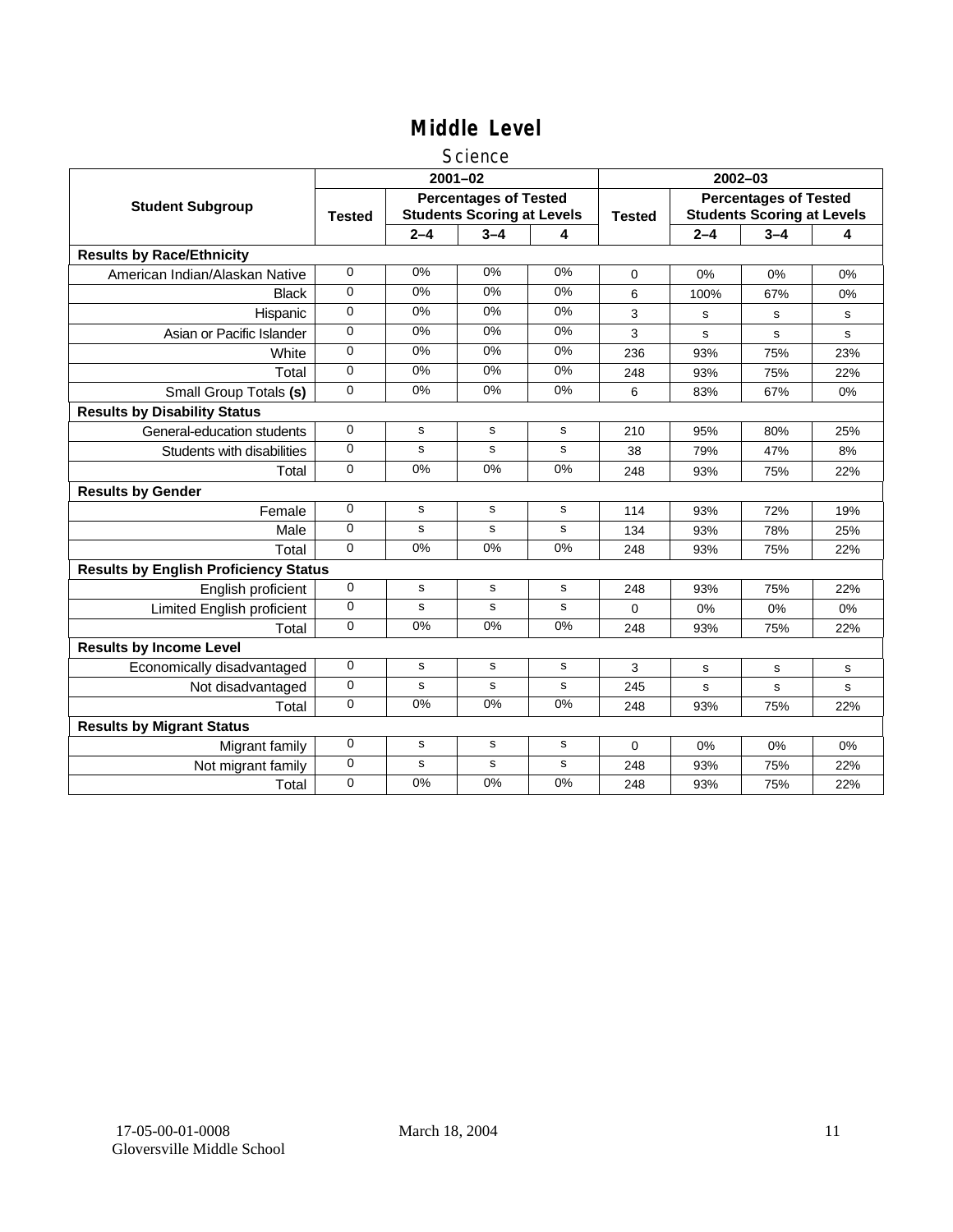#### Science

|                                              |               |                                                                   | $2001 - 02$ |             | $2002 - 03$   |                                                                   |         |     |
|----------------------------------------------|---------------|-------------------------------------------------------------------|-------------|-------------|---------------|-------------------------------------------------------------------|---------|-----|
| <b>Student Subgroup</b>                      | <b>Tested</b> | <b>Percentages of Tested</b><br><b>Students Scoring at Levels</b> |             |             | <b>Tested</b> | <b>Percentages of Tested</b><br><b>Students Scoring at Levels</b> |         |     |
|                                              |               | $2 - 4$                                                           | $3 - 4$     | 4           |               | $2 - 4$                                                           | $3 - 4$ | 4   |
| <b>Results by Race/Ethnicity</b>             |               |                                                                   |             |             |               |                                                                   |         |     |
| American Indian/Alaskan Native               | 0             | 0%                                                                | 0%          | 0%          | $\Omega$      | 0%                                                                | 0%      | 0%  |
| <b>Black</b>                                 | 0             | 0%                                                                | 0%          | 0%          | 6             | 100%                                                              | 67%     | 0%  |
| Hispanic                                     | 0             | 0%                                                                | 0%          | 0%          | 3             | s                                                                 | s       | s   |
| Asian or Pacific Islander                    | $\Omega$      | 0%                                                                | 0%          | $0\%$       | 3             | s                                                                 | s       | s   |
| White                                        | 0             | 0%                                                                | 0%          | $0\%$       | 236           | 93%                                                               | 75%     | 23% |
| Total                                        | $\Omega$      | 0%                                                                | 0%          | 0%          | 248           | 93%                                                               | 75%     | 22% |
| Small Group Totals (s)                       | 0             | 0%                                                                | 0%          | 0%          | 6             | 83%                                                               | 67%     | 0%  |
| <b>Results by Disability Status</b>          |               |                                                                   |             |             |               |                                                                   |         |     |
| General-education students                   | 0             | s                                                                 | s           | $\mathbf s$ | 210           | 95%                                                               | 80%     | 25% |
| Students with disabilities                   | 0             | s                                                                 | s           | $\mathbf s$ | 38            | 79%                                                               | 47%     | 8%  |
| Total                                        | 0             | 0%                                                                | 0%          | 0%          | 248           | 93%                                                               | 75%     | 22% |
| <b>Results by Gender</b>                     |               |                                                                   |             |             |               |                                                                   |         |     |
| Female                                       | 0             | s                                                                 | s           | s           | 114           | 93%                                                               | 72%     | 19% |
| Male                                         | 0             | $\mathbf s$                                                       | s           | $\mathbf s$ | 134           | 93%                                                               | 78%     | 25% |
| Total                                        | $\Omega$      | 0%                                                                | 0%          | 0%          | 248           | 93%                                                               | 75%     | 22% |
| <b>Results by English Proficiency Status</b> |               |                                                                   |             |             |               |                                                                   |         |     |
| English proficient                           | 0             | s                                                                 | s           | ${\bf s}$   | 248           | 93%                                                               | 75%     | 22% |
| Limited English proficient                   | 0             | s                                                                 | s           | s           | 0             | 0%                                                                | 0%      | 0%  |
| Total                                        | $\Omega$      | 0%                                                                | 0%          | 0%          | 248           | 93%                                                               | 75%     | 22% |
| <b>Results by Income Level</b>               |               |                                                                   |             |             |               |                                                                   |         |     |
| Economically disadvantaged                   | 0             | s                                                                 | s           | s           | 3             | s                                                                 | s       | s   |
| Not disadvantaged                            | 0             | s                                                                 | s           | s           | 245           | s                                                                 | s       | s   |
| Total                                        | 0             | 0%                                                                | 0%          | 0%          | 248           | 93%                                                               | 75%     | 22% |
| <b>Results by Migrant Status</b>             |               |                                                                   |             |             |               |                                                                   |         |     |
| Migrant family                               | 0             | s                                                                 | s           | s           | 0             | $0\%$                                                             | 0%      | 0%  |
| Not migrant family                           | 0             | $\mathbf s$                                                       | $\mathbf s$ | $\mathbf s$ | 248           | 93%                                                               | 75%     | 22% |
| Total                                        | 0             | 0%                                                                | 0%          | 0%          | 248           | 93%                                                               | 75%     | 22% |